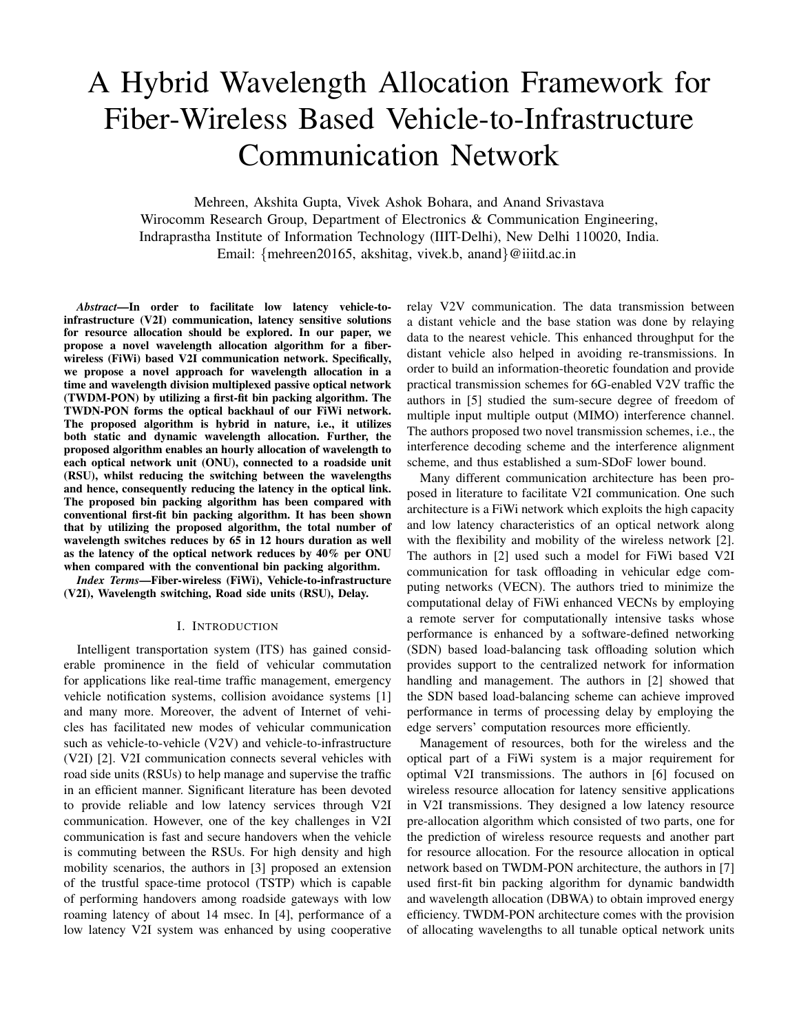# A Hybrid Wavelength Allocation Framework for Fiber-Wireless Based Vehicle-to-Infrastructure Communication Network

Mehreen, Akshita Gupta, Vivek Ashok Bohara, and Anand Srivastava Wirocomm Research Group, Department of Electronics & Communication Engineering, Indraprastha Institute of Information Technology (IIIT-Delhi), New Delhi 110020, India. Email: {mehreen20165, akshitag, vivek.b, anand}@iiitd.ac.in

*Abstract*—In order to facilitate low latency vehicle-toinfrastructure (V2I) communication, latency sensitive solutions for resource allocation should be explored. In our paper, we propose a novel wavelength allocation algorithm for a fiberwireless (FiWi) based V2I communication network. Specifically, we propose a novel approach for wavelength allocation in a time and wavelength division multiplexed passive optical network (TWDM-PON) by utilizing a first-fit bin packing algorithm. The TWDN-PON forms the optical backhaul of our FiWi network. The proposed algorithm is hybrid in nature, i.e., it utilizes both static and dynamic wavelength allocation. Further, the proposed algorithm enables an hourly allocation of wavelength to each optical network unit (ONU), connected to a roadside unit (RSU), whilst reducing the switching between the wavelengths and hence, consequently reducing the latency in the optical link. The proposed bin packing algorithm has been compared with conventional first-fit bin packing algorithm. It has been shown that by utilizing the proposed algorithm, the total number of wavelength switches reduces by 65 in 12 hours duration as well as the latency of the optical network reduces by 40% per ONU when compared with the conventional bin packing algorithm.

*Index Terms*—Fiber-wireless (FiWi), Vehicle-to-infrastructure (V2I), Wavelength switching, Road side units (RSU), Delay.

#### I. INTRODUCTION

Intelligent transportation system (ITS) has gained considerable prominence in the field of vehicular commutation for applications like real-time traffic management, emergency vehicle notification systems, collision avoidance systems [1] and many more. Moreover, the advent of Internet of vehicles has facilitated new modes of vehicular communication such as vehicle-to-vehicle (V2V) and vehicle-to-infrastructure (V2I) [2]. V2I communication connects several vehicles with road side units (RSUs) to help manage and supervise the traffic in an efficient manner. Significant literature has been devoted to provide reliable and low latency services through V2I communication. However, one of the key challenges in V2I communication is fast and secure handovers when the vehicle is commuting between the RSUs. For high density and high mobility scenarios, the authors in [3] proposed an extension of the trustful space-time protocol (TSTP) which is capable of performing handovers among roadside gateways with low roaming latency of about 14 msec. In [4], performance of a low latency V2I system was enhanced by using cooperative

relay V2V communication. The data transmission between a distant vehicle and the base station was done by relaying data to the nearest vehicle. This enhanced throughput for the distant vehicle also helped in avoiding re-transmissions. In order to build an information-theoretic foundation and provide practical transmission schemes for 6G-enabled V2V traffic the authors in [5] studied the sum-secure degree of freedom of multiple input multiple output (MIMO) interference channel. The authors proposed two novel transmission schemes, i.e., the interference decoding scheme and the interference alignment scheme, and thus established a sum-SDoF lower bound.

Many different communication architecture has been proposed in literature to facilitate V2I communication. One such architecture is a FiWi network which exploits the high capacity and low latency characteristics of an optical network along with the flexibility and mobility of the wireless network [2]. The authors in [2] used such a model for FiWi based V2I communication for task offloading in vehicular edge computing networks (VECN). The authors tried to minimize the computational delay of FiWi enhanced VECNs by employing a remote server for computationally intensive tasks whose performance is enhanced by a software-defined networking (SDN) based load-balancing task offloading solution which provides support to the centralized network for information handling and management. The authors in [2] showed that the SDN based load-balancing scheme can achieve improved performance in terms of processing delay by employing the edge servers' computation resources more efficiently.

Management of resources, both for the wireless and the optical part of a FiWi system is a major requirement for optimal V2I transmissions. The authors in [6] focused on wireless resource allocation for latency sensitive applications in V2I transmissions. They designed a low latency resource pre-allocation algorithm which consisted of two parts, one for the prediction of wireless resource requests and another part for resource allocation. For the resource allocation in optical network based on TWDM-PON architecture, the authors in [7] used first-fit bin packing algorithm for dynamic bandwidth and wavelength allocation (DBWA) to obtain improved energy efficiency. TWDM-PON architecture comes with the provision of allocating wavelengths to all tunable optical network units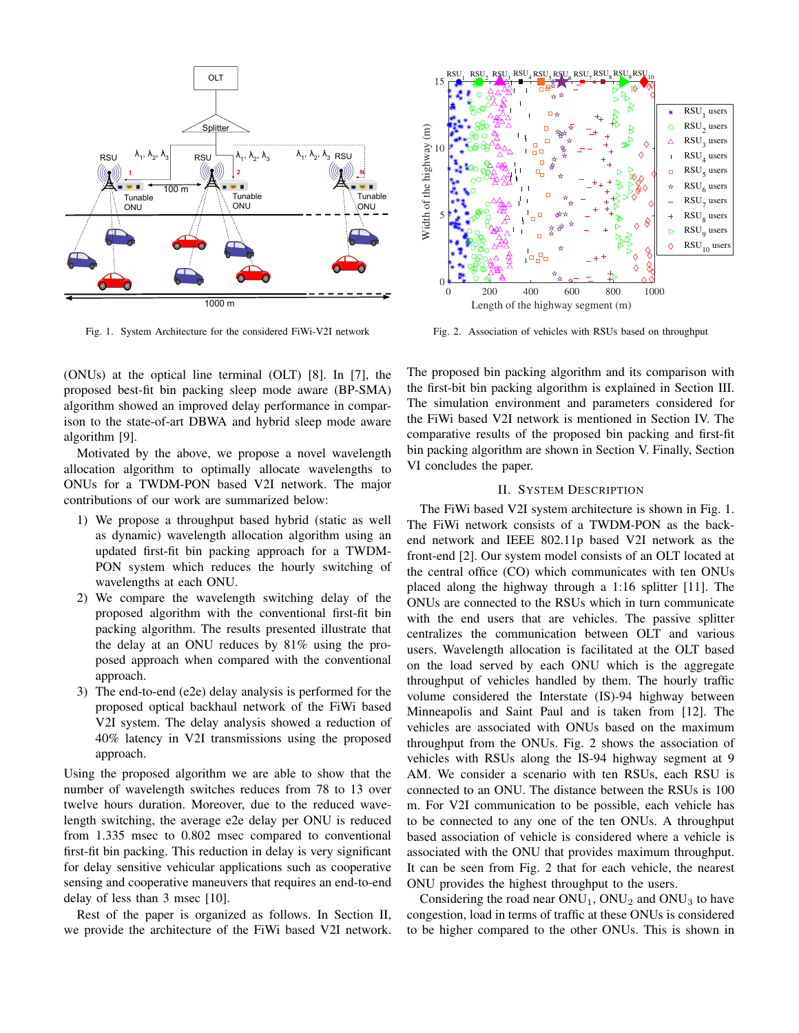

Fig. 1. System Architecture for the considered FiWi-V2I network

(ONUs) at the optical line terminal (OLT) [8]. In [7], the proposed best-fit bin packing sleep mode aware (BP-SMA) algorithm showed an improved delay performance in comparison to the state-of-art DBWA and hybrid sleep mode aware algorithm [9].

Motivated by the above, we propose a novel wavelength allocation algorithm to optimally allocate wavelengths to ONUs for a TWDM-PON based V2I network. The major contributions of our work are summarized below:

- 1) We propose a throughput based hybrid (static as well as dynamic) wavelength allocation algorithm using an updated first-fit bin packing approach for a TWDM-PON system which reduces the hourly switching of wavelengths at each ONU.
- 2) We compare the wavelength switching delay of the proposed algorithm with the conventional first-fit bin packing algorithm. The results presented illustrate that the delay at an ONU reduces by 81% using the proposed approach when compared with the conventional approach.
- 3) The end-to-end (e2e) delay analysis is performed for the proposed optical backhaul network of the FiWi based V2I system. The delay analysis showed a reduction of 40% latency in V2I transmissions using the proposed approach.

Using the proposed algorithm we are able to show that the number of wavelength switches reduces from 78 to 13 over twelve hours duration. Moreover, due to the reduced wavelength switching, the average e2e delay per ONU is reduced from 1.335 msec to 0.802 msec compared to conventional first-fit bin packing. This reduction in delay is very significant for delay sensitive vehicular applications such as cooperative sensing and cooperative maneuvers that requires an end-to-end delay of less than 3 msec [10].

Rest of the paper is organized as follows. In Section II, we provide the architecture of the FiWi based V2I network.



Fig. 2. Association of vehicles with RSUs based on throughput

The proposed bin packing algorithm and its comparison with the first-bit bin packing algorithm is explained in Section III. The simulation environment and parameters considered for the FiWi based V2I network is mentioned in Section IV. The comparative results of the proposed bin packing and first-fit bin packing algorithm are shown in Section V. Finally, Section VI concludes the paper.

# II. SYSTEM DESCRIPTION

The FiWi based V2I system architecture is shown in Fig. 1. The FiWi network consists of a TWDM-PON as the backend network and IEEE 802.11p based V2I network as the front-end [2]. Our system model consists of an OLT located at the central office (CO) which communicates with ten ONUs placed along the highway through a 1:16 splitter [11]. The ONUs are connected to the RSUs which in turn communicate with the end users that are vehicles. The passive splitter centralizes the communication between OLT and various users. Wavelength allocation is facilitated at the OLT based on the load served by each ONU which is the aggregate throughput of vehicles handled by them. The hourly traffic volume considered the Interstate (IS)-94 highway between Minneapolis and Saint Paul and is taken from [12]. The vehicles are associated with ONUs based on the maximum throughput from the ONUs. Fig. 2 shows the association of vehicles with RSUs along the IS-94 highway segment at 9 AM. We consider a scenario with ten RSUs, each RSU is connected to an ONU. The distance between the RSUs is 100 m. For V2I communication to be possible, each vehicle has to be connected to any one of the ten ONUs. A throughput based association of vehicle is considered where a vehicle is associated with the ONU that provides maximum throughput. It can be seen from Fig. 2 that for each vehicle, the nearest ONU provides the highest throughput to the users.

Considering the road near  $ONU_1$ ,  $ONU_2$  and  $ONU_3$  to have congestion, load in terms of traffic at these ONUs is considered to be higher compared to the other ONUs. This is shown in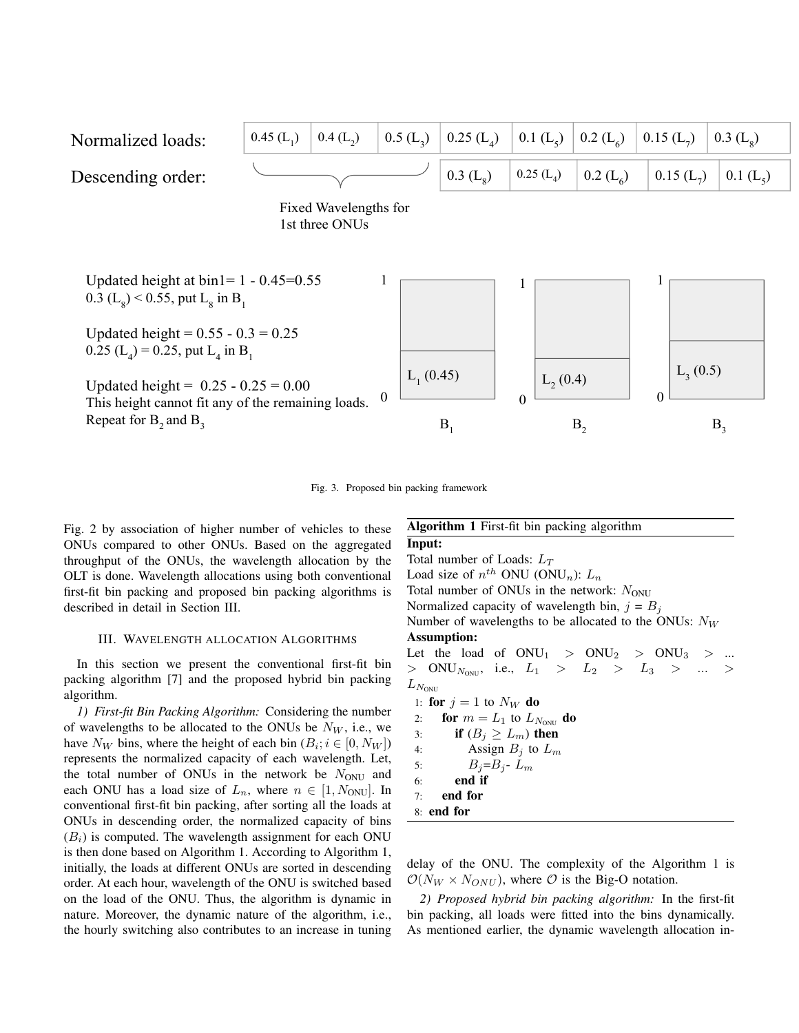

Fig. 3. Proposed bin packing framework

Fig. 2 by association of higher number of vehicles to these ONUs compared to other ONUs. Based on the aggregated throughput of the ONUs, the wavelength allocation by the OLT is done. Wavelength allocations using both conventional first-fit bin packing and proposed bin packing algorithms is described in detail in Section III.

#### III. WAVELENGTH ALLOCATION ALGORITHMS

In this section we present the conventional first-fit bin packing algorithm [7] and the proposed hybrid bin packing algorithm.

*1) First-fit Bin Packing Algorithm:* Considering the number of wavelengths to be allocated to the ONUs be  $N_W$ , i.e., we have  $N_W$  bins, where the height of each bin  $(B_i; i \in [0, N_W])$ represents the normalized capacity of each wavelength. Let, the total number of ONUs in the network be  $N_{\text{ONU}}$  and each ONU has a load size of  $L_n$ , where  $n \in [1, N_{\text{ONU}}]$ . In conventional first-fit bin packing, after sorting all the loads at ONUs in descending order, the normalized capacity of bins  $(B<sub>i</sub>)$  is computed. The wavelength assignment for each ONU is then done based on Algorithm 1. According to Algorithm 1, initially, the loads at different ONUs are sorted in descending order. At each hour, wavelength of the ONU is switched based on the load of the ONU. Thus, the algorithm is dynamic in nature. Moreover, the dynamic nature of the algorithm, i.e., the hourly switching also contributes to an increase in tuning

| <b>Algorithm 1</b> First-fit bin packing algorithm       |
|----------------------------------------------------------|
| Input:                                                   |
| Total number of Loads: $L_T$                             |
| Load size of $n^{th}$ ONU (ONU <sub>n</sub> ): $L_n$     |
| Total number of ONUs in the network: $N_{ONU}$           |
| Normalized capacity of wavelength bin, $j = Bi$          |
| Number of wavelengths to be allocated to the ONUs: $N_W$ |
| <b>Assumption:</b>                                       |
| Let the load of $ONU_1 > ONU_2 > ONU_3 > $               |
| > ONU <sub>Novu</sub> , i.e., $L_1$ > $L_2$ > $L_3$ >  > |
| $L_{N_{\rm ONU}}$                                        |
| 1: for $j = 1$ to $N_W$ do                               |
| for $m = L_1$ to $L_{N_{\text{ONII}}}$ do<br>2:          |
| if $(B_j \geq L_m)$ then<br>3:                           |
| Assign $B_i$ to $L_m$<br>4:                              |
| $B_i = B_i - L_m$<br>5:                                  |
| end if<br>6:                                             |
| 7: end for                                               |
| $8:$ end for                                             |

delay of the ONU. The complexity of the Algorithm 1 is  $\mathcal{O}(N_W \times N_{ONU})$ , where  $\mathcal O$  is the Big-O notation.

*2) Proposed hybrid bin packing algorithm:* In the first-fit bin packing, all loads were fitted into the bins dynamically. As mentioned earlier, the dynamic wavelength allocation in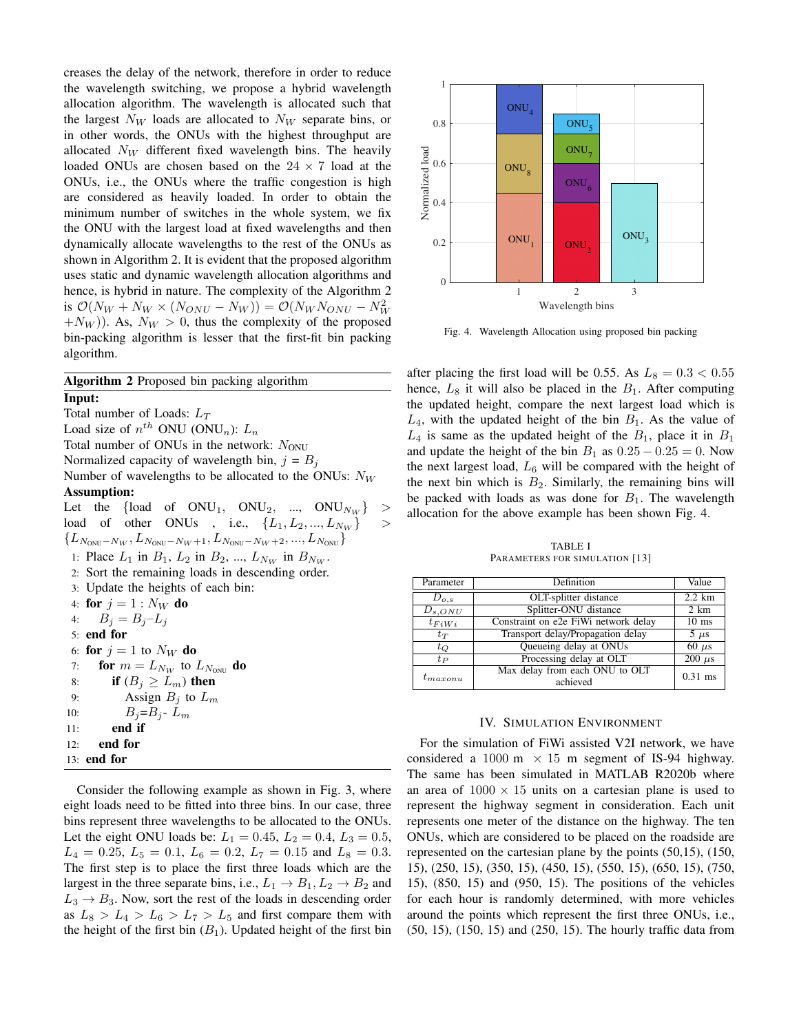creases the delay of the network, therefore in order to reduce the wavelength switching, we propose a hybrid wavelength allocation algorithm. The wavelength is allocated such that the largest  $N_W$  loads are allocated to  $N_W$  separate bins, or in other words, the ONUs with the highest throughput are allocated  $N_W$  different fixed wavelength bins. The heavily loaded ONUs are chosen based on the  $24 \times 7$  load at the ONUs, i.e., the ONUs where the traffic congestion is high are considered as heavily loaded. In order to obtain the minimum number of switches in the whole system, we fix the ONU with the largest load at fixed wavelengths and then dynamically allocate wavelengths to the rest of the ONUs as shown in Algorithm 2. It is evident that the proposed algorithm uses static and dynamic wavelength allocation algorithms and hence, is hybrid in nature. The complexity of the Algorithm 2 is  $\mathcal{O}(N_W + N_W \times (N_{ONU} - N_W)) = \mathcal{O}(N_W N_{ONU} - N_W^2)$  $+N_W$ ). As,  $N_W > 0$ , thus the complexity of the proposed bin-packing algorithm is lesser that the first-fit bin packing algorithm.

Algorithm 2 Proposed bin packing algorithm Input: Total number of Loads:  $L_T$ Load size of  $n^{th}$  ONU (ONU<sub>n</sub>):  $L_n$ Total number of ONUs in the network:  $N_{\text{ONU}}$ Normalized capacity of wavelength bin,  $j = B<sub>i</sub>$ Number of wavelengths to be allocated to the ONUs:  $N_W$ Assumption: Let the {load of  $ONU_1$ ,  $ONU_2$ , ...,  $ONU_{N_W}$ } > load of other ONUs , i.e.,  $\{L_1, L_2, ..., L_{N_W}\}\$  $\{L_{N_{\rm ONU}-N_W}, L_{N_{\rm ONU}-N_W+1}, L_{N_{\rm ONU}-N_W+2}, ..., L_{N_{\rm ONU}}\}$ 1: Place  $L_1$  in  $B_1$ ,  $L_2$  in  $B_2$ , ...,  $L_{N_W}$  in  $B_{N_W}$ . 2: Sort the remaining loads in descending order. 3: Update the heights of each bin: 4: for  $j = 1 : N_W$  do 4:  $B_i = B_i - L_i$ 5: end for 6: for  $j = 1$  to  $N_W$  do 7: **for**  $m = L_{N_W}$  to  $L_{N_{\text{ONU}}}$  do 8: if  $(B_j \ge L_m)$  then 9: Assign  $B_i$  to  $L_m$ 10:  $B_j = B_j - L_m$ 11: end if 12: end for 13: end for

Consider the following example as shown in Fig. 3, where eight loads need to be fitted into three bins. In our case, three bins represent three wavelengths to be allocated to the ONUs. Let the eight ONU loads be:  $L_1 = 0.45$ ,  $L_2 = 0.4$ ,  $L_3 = 0.5$ ,  $L_4 = 0.25, L_5 = 0.1, L_6 = 0.2, L_7 = 0.15$  and  $L_8 = 0.3$ . The first step is to place the first three loads which are the largest in the three separate bins, i.e.,  $L_1 \rightarrow B_1, L_2 \rightarrow B_2$  and  $L_3 \rightarrow B_3$ . Now, sort the rest of the loads in descending order as  $L_8 > L_4 > L_6 > L_7 > L_5$  and first compare them with the height of the first bin  $(B_1)$ . Updated height of the first bin



Fig. 4. Wavelength Allocation using proposed bin packing

after placing the first load will be 0.55. As  $L_8 = 0.3 < 0.55$ hence,  $L_8$  it will also be placed in the  $B_1$ . After computing the updated height, compare the next largest load which is  $L_4$ , with the updated height of the bin  $B_1$ . As the value of  $L_4$  is same as the updated height of the  $B_1$ , place it in  $B_1$ and update the height of the bin  $B_1$  as  $0.25 - 0.25 = 0$ . Now the next largest load,  $L_6$  will be compared with the height of the next bin which is  $B_2$ . Similarly, the remaining bins will be packed with loads as was done for  $B_1$ . The wavelength allocation for the above example has been shown Fig. 4.

TABLE I PARAMETERS FOR SIMULATION [13]

| Parameter    | Definition                                 | Value                     |
|--------------|--------------------------------------------|---------------------------|
| $D_{o,s}$    | OLT-splitter distance                      | $2.2$ km                  |
| $D_{s,ONU}$  | Splitter-ONU distance                      | $\overline{2 \text{ km}}$ |
| $t_{FiWi}$   | Constraint on e2e FiWi network delay       | $10$ ms                   |
| $t_T$        | Transport delay/Propagation delay          | $5 \mu s$                 |
| $t_Q$        | Queueing delay at ONUs                     | $60 \mu s$                |
| $t_{P}$      | Processing delay at OLT                    | $200 \mu s$               |
| $t_{maxonu}$ | Max delay from each ONU to OLT<br>achieved | $0.31$ ms                 |

### IV. SIMULATION ENVIRONMENT

For the simulation of FiWi assisted V2I network, we have considered a 1000 m  $\times$  15 m segment of IS-94 highway. The same has been simulated in MATLAB R2020b where an area of  $1000 \times 15$  units on a cartesian plane is used to represent the highway segment in consideration. Each unit represents one meter of the distance on the highway. The ten ONUs, which are considered to be placed on the roadside are represented on the cartesian plane by the points (50,15), (150, 15), (250, 15), (350, 15), (450, 15), (550, 15), (650, 15), (750, 15), (850, 15) and (950, 15). The positions of the vehicles for each hour is randomly determined, with more vehicles around the points which represent the first three ONUs, i.e., (50, 15), (150, 15) and (250, 15). The hourly traffic data from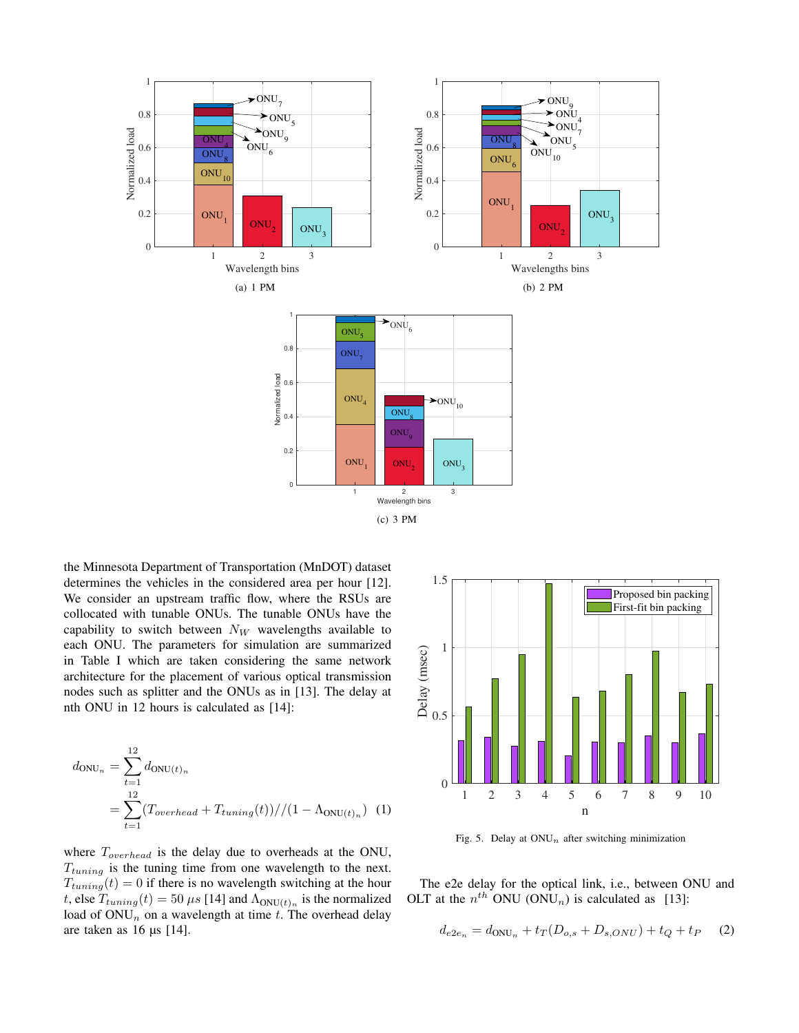

the Minnesota Department of Transportation (MnDOT) dataset determines the vehicles in the considered area per hour [12]. We consider an upstream traffic flow, where the RSUs are collocated with tunable ONUs. The tunable ONUs have the capability to switch between  $N_W$  wavelengths available to each ONU. The parameters for simulation are summarized in Table I which are taken considering the same network architecture for the placement of various optical transmission nodes such as splitter and the ONUs as in [13]. The delay at nth ONU in 12 hours is calculated as [14]:

$$
d_{\text{ONU}_n} = \sum_{t=1}^{12} d_{\text{ONU}(t)_n}
$$
  
= 
$$
\sum_{t=1}^{12} (T_{overhead} + T_{tuning}(t)) // (1 - \Lambda_{\text{ONU}(t)_n}) (1)
$$

where  $T_{overhead}$  is the delay due to overheads at the ONU,  $T_{tuning}$  is the tuning time from one wavelength to the next.  $T_{tuning}(t) = 0$  if there is no wavelength switching at the hour t, else  $T_{tuning}(t) = 50 \,\mu s$  [14] and  $\Lambda_{\text{ONU}(t)_n}$  is the normalized load of  $ONU_n$  on a wavelength at time t. The overhead delay are taken as 16 µs [14].



Fig. 5. Delay at  $ONU_n$  after switching minimization

The e2e delay for the optical link, i.e., between ONU and OLT at the  $n^{th}$  ONU (ONU<sub>n</sub>) is calculated as [13]:

$$
d_{e2e_n} = d_{\text{ONU}_n} + t_T (D_{o,s} + D_{s,ONU}) + t_Q + t_P \tag{2}
$$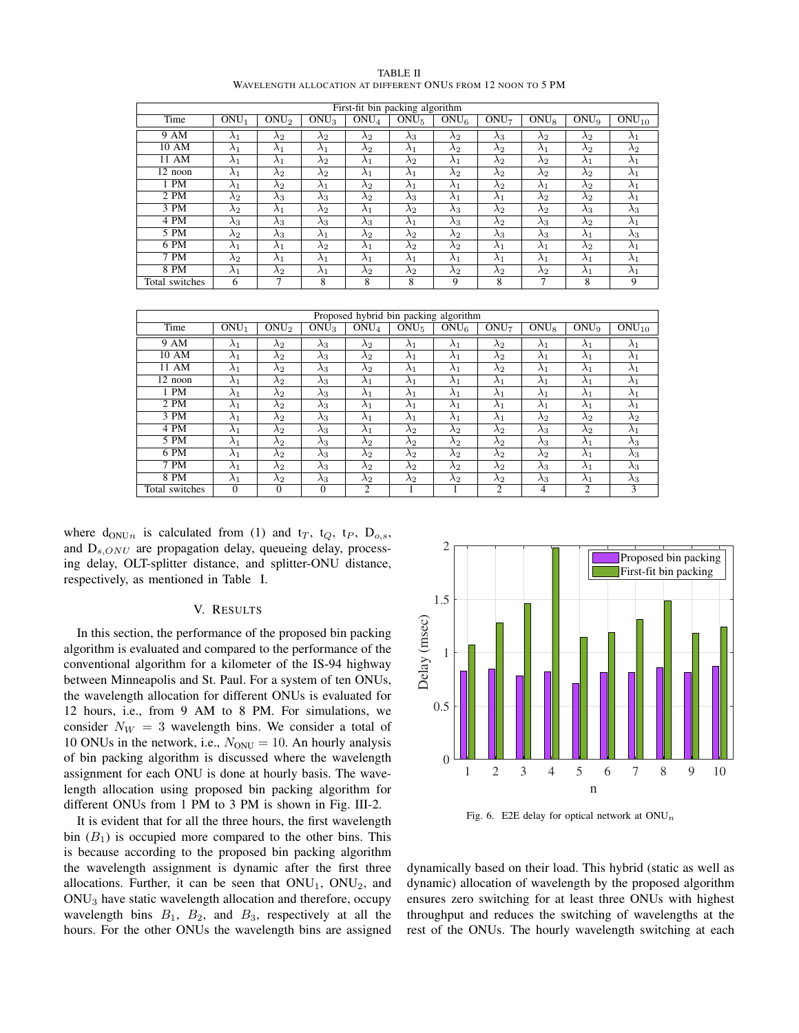| First-fit bin packing algorithm |             |                  |             |                  |                  |             |                  |                  |                  |             |
|---------------------------------|-------------|------------------|-------------|------------------|------------------|-------------|------------------|------------------|------------------|-------------|
| Time                            | $ONU_1$     | ONU <sub>2</sub> | $ONU_3$     | ONU <sub>4</sub> | ONU <sub>5</sub> | $ONU_6$     | ONU <sub>7</sub> | ONU <sub>8</sub> | ONU <sub>9</sub> | $ONU_{10}$  |
| 9 AM                            | $\lambda_1$ | $\lambda_2$      | $\lambda_2$ | $\lambda_2$      | $\lambda_3$      | $\lambda_2$ | $\lambda_3$      | $\lambda_2$      | $\lambda_2$      | $\lambda_1$ |
| 10 AM                           | $\lambda_1$ | $\lambda_1$      | $\lambda_1$ | $\lambda_2$      | $\lambda_1$      | $\lambda_2$ | $\lambda_2$      | $\lambda_1$      | $\lambda_2$      | $\lambda_2$ |
| 11 AM                           | $\lambda_1$ | $\lambda_1$      | $\lambda_2$ | $\lambda_1$      | $\lambda_2$      | $\lambda_1$ | $\lambda_2$      | $\lambda_2$      | $\lambda_1$      | $\lambda_1$ |
| 12 noon                         | $\lambda_1$ | $\lambda_2$      | $\lambda_2$ | $\lambda_1$      | $\lambda_1$      | $\lambda_2$ | $\lambda_2$      | $\lambda_2$      | $\lambda_2$      | $\lambda_1$ |
| $1$ PM                          | $\lambda_1$ | $\lambda_2$      | $\lambda_1$ | $\lambda_2$      | $\lambda_1$      | $\lambda_1$ | $\lambda_2$      | $\lambda_1$      | $\lambda_2$      | $\lambda_1$ |
| 2 PM                            | $\lambda_2$ | $\lambda_3$      | $\lambda_3$ | $\lambda_2$      | $\lambda_3$      | $\lambda_1$ | $\lambda_1$      | $\lambda_2$      | $\lambda_2$      | $\lambda_1$ |
| 3 PM                            | $\lambda_2$ | $\lambda_1$      | $\lambda_2$ | $\lambda_1$      | $\lambda_2$      | $\lambda_3$ | $\lambda_2$      | $\lambda_2$      | $\lambda_3$      | $\lambda_3$ |
| 4 PM                            | $\lambda_3$ | $\lambda_3$      | $\lambda_3$ | $\lambda_3$      | $\lambda_1$      | $\lambda_3$ | $\lambda_2$      | $\lambda_3$      | $\lambda_2$      | $\lambda_1$ |
| $5 \overline{PM}$               | $\lambda_2$ | $\lambda_3$      | $\lambda_1$ | $\lambda_2$      | $\lambda_2$      | $\lambda_2$ | $\lambda_3$      | $\lambda_3$      | $\lambda_1$      | $\lambda_3$ |
| 6 PM                            | $\lambda_1$ | $\lambda_1$      | $\lambda_2$ | $\lambda_1$      | $\lambda_2$      | $\lambda_2$ | $\lambda_1$      | $\lambda_1$      | $\lambda_2$      | $\lambda_1$ |
| 7 P M                           | $\lambda_2$ | $\lambda_1$      | $\lambda_1$ | $\lambda_1$      | $\lambda_1$      | $\lambda_1$ | $\lambda_1$      | $\lambda_1$      | $\lambda_1$      | $\lambda_1$ |
| 8 PM                            | $\lambda_1$ | $\lambda_2$      | $\lambda_1$ | $\lambda_2$      | $\lambda_2$      | $\lambda_2$ | $\lambda_2$      | $\lambda_2$      | $\lambda_1$      | $\lambda_1$ |
| Total switches                  | 6           | 7                | 8           | 8                | 8                | 9           | 8                | 7                | 8                | 9           |

| TABLE II                                                     |  |
|--------------------------------------------------------------|--|
| WAVELENGTH ALLOCATION AT DIFFERENT ONUS FROM 12 NOON TO 5 PM |  |

| Proposed hybrid bin packing algorithm |             |                  |             |                  |                  |                  |                  |             |                  |             |
|---------------------------------------|-------------|------------------|-------------|------------------|------------------|------------------|------------------|-------------|------------------|-------------|
| Time                                  | $ONU_1$     | ONU <sub>2</sub> | $ONU_3$     | ONU <sub>4</sub> | ONU <sub>5</sub> | ONU <sub>6</sub> | ONU <sub>7</sub> | ONUs        | ONU <sub>9</sub> | $ONU_{10}$  |
| 9 AM                                  | $\lambda_1$ | $\lambda_2$      | $\lambda_3$ | $\lambda_2$      | $\lambda_1$      | $\lambda_1$      | $\lambda_2$      | $\lambda_1$ | $\lambda_1$      | $\lambda_1$ |
| 10 AM                                 | $\lambda_1$ | $\lambda_2$      | $\lambda_3$ | $\lambda_2$      | $\lambda_1$      | $\lambda_1$      | $\lambda_2$      | $\lambda_1$ | $\lambda_1$      | $\lambda_1$ |
| 11 AM                                 | $\lambda_1$ | $\lambda_2$      | $\lambda_3$ | $\lambda_2$      | $\lambda_1$      | $\lambda_1$      | $\lambda_2$      | $\lambda_1$ | $\lambda_1$      | $\lambda_1$ |
| $\overline{1}2$ noon                  | $\lambda_1$ | $\lambda_2$      | $\lambda_3$ | $\lambda_1$      | $\lambda_1$      | $\lambda_1$      | $\lambda_1$      | $\lambda_1$ | $\lambda_1$      | $\lambda_1$ |
| 1 PM                                  | $\lambda_1$ | $\lambda_2$      | $\lambda_3$ | $\lambda_1$      | $\lambda_1$      | $\lambda_1$      | $\lambda_1$      | $\lambda_1$ | $\lambda_1$      | $\lambda_1$ |
| 2 PM                                  | $\lambda_1$ | $\lambda_2$      | $\lambda_3$ | $\lambda_1$      | $\lambda_1$      | $\lambda_1$      | $\lambda_1$      | $\lambda_1$ | $\lambda_1$      | $\lambda_1$ |
| 3 PM                                  | $\lambda_1$ | $\lambda_2$      | $\lambda_3$ | $\lambda_1$      | $\lambda_1$      | $\lambda_1$      | $\lambda_1$      | $\lambda_2$ | $\lambda_2$      | $\lambda_2$ |
| 4 PM                                  | $\lambda_1$ | $\lambda_2$      | $\lambda_3$ | $\lambda_1$      | $\lambda_2$      | $\lambda_2$      | $\lambda_2$      | $\lambda_3$ | $\lambda_2$      | $\lambda_1$ |
| $5 \overline{PM}$                     | $\lambda_1$ | $\lambda_2$      | $\lambda_3$ | $\lambda_2$      | $\lambda_2$      | $\lambda_2$      | $\lambda_2$      | $\lambda_3$ | $\lambda_1$      | $\lambda_3$ |
| $6 \overline{PM}$                     | $\lambda_1$ | $\lambda_2$      | $\lambda_3$ | $\lambda_2$      | $\lambda_2$      | $\lambda_2$      | $\lambda_2$      | $\lambda_2$ | $\lambda_1$      | $\lambda_3$ |
| 7 PM                                  | $\lambda_1$ | $\lambda_2$      | $\lambda_3$ | $\lambda_2$      | $\lambda_2$      | $\lambda_2$      | $\lambda_2$      | $\lambda_3$ | $\lambda_1$      | $\lambda_3$ |
| 8 PM                                  | $\lambda_1$ | $\lambda_2$      | $\lambda_3$ | $\lambda_2$      | $\lambda_2$      | $\lambda_2$      | $\lambda_2$      | $\lambda_3$ | $\lambda_1$      | $\lambda_3$ |
| Total switches                        | $\Omega$    | $\Omega$         | $\Omega$    | C                |                  |                  | $\overline{c}$   | 4           | $\overline{c}$   | 3           |

where  $d_{\text{ONU}_n}$  is calculated from (1) and  $t_T$ ,  $t_Q$ ,  $t_P$ ,  $D_{o,s}$ , and  $D_{s,ONU}$  are propagation delay, queueing delay, processing delay, OLT-splitter distance, and splitter-ONU distance, respectively, as mentioned in Table I.

# V. RESULTS

In this section, the performance of the proposed bin packing algorithm is evaluated and compared to the performance of the conventional algorithm for a kilometer of the IS-94 highway between Minneapolis and St. Paul. For a system of ten ONUs, the wavelength allocation for different ONUs is evaluated for 12 hours, i.e., from 9 AM to 8 PM. For simulations, we consider  $N_W = 3$  wavelength bins. We consider a total of 10 ONUs in the network, i.e.,  $N_{\text{ONU}} = 10$ . An hourly analysis of bin packing algorithm is discussed where the wavelength assignment for each ONU is done at hourly basis. The wavelength allocation using proposed bin packing algorithm for different ONUs from 1 PM to 3 PM is shown in Fig. III-2.

It is evident that for all the three hours, the first wavelength bin  $(B_1)$  is occupied more compared to the other bins. This is because according to the proposed bin packing algorithm the wavelength assignment is dynamic after the first three allocations. Further, it can be seen that  $ONU_1$ ,  $ONU_2$ , and ONU<sup>3</sup> have static wavelength allocation and therefore, occupy wavelength bins  $B_1$ ,  $B_2$ , and  $B_3$ , respectively at all the hours. For the other ONUs the wavelength bins are assigned



Fig. 6. E2E delay for optical network at  $ONU_n$ 

dynamically based on their load. This hybrid (static as well as dynamic) allocation of wavelength by the proposed algorithm ensures zero switching for at least three ONUs with highest throughput and reduces the switching of wavelengths at the rest of the ONUs. The hourly wavelength switching at each